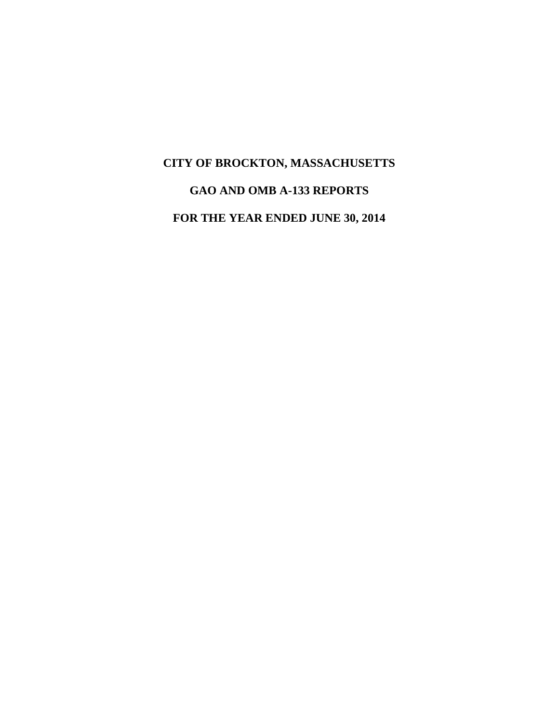# **CITY OF BROCKTON, MASSACHUSETTS GAO AND OMB A-133 REPORTS FOR THE YEAR ENDED JUNE 30, 2014**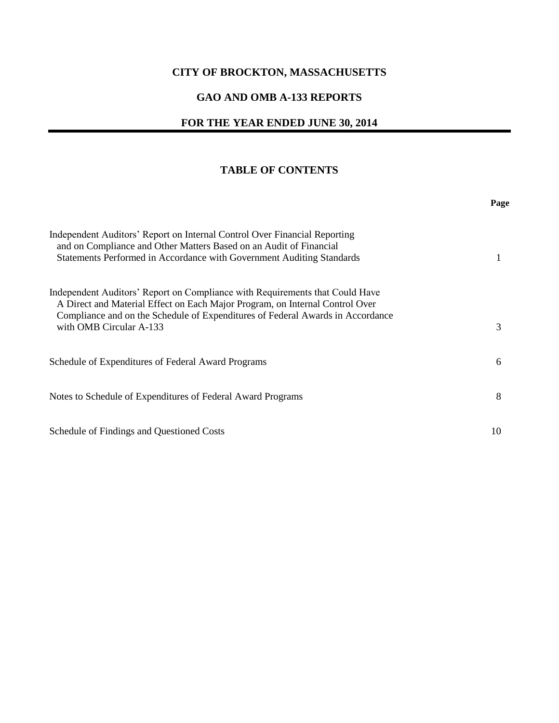# **CITY OF BROCKTON, MASSACHUSETTS**

# **GAO AND OMB A-133 REPORTS**

# **FOR THE YEAR ENDED JUNE 30, 2014**

# **TABLE OF CONTENTS**

|                                                                                                                                                                                                                                                                           | Page |
|---------------------------------------------------------------------------------------------------------------------------------------------------------------------------------------------------------------------------------------------------------------------------|------|
| Independent Auditors' Report on Internal Control Over Financial Reporting<br>and on Compliance and Other Matters Based on an Audit of Financial<br>Statements Performed in Accordance with Government Auditing Standards                                                  |      |
| Independent Auditors' Report on Compliance with Requirements that Could Have<br>A Direct and Material Effect on Each Major Program, on Internal Control Over<br>Compliance and on the Schedule of Expenditures of Federal Awards in Accordance<br>with OMB Circular A-133 | 3    |
| Schedule of Expenditures of Federal Award Programs                                                                                                                                                                                                                        | 6    |
| Notes to Schedule of Expenditures of Federal Award Programs                                                                                                                                                                                                               | 8    |
| Schedule of Findings and Questioned Costs                                                                                                                                                                                                                                 | 10   |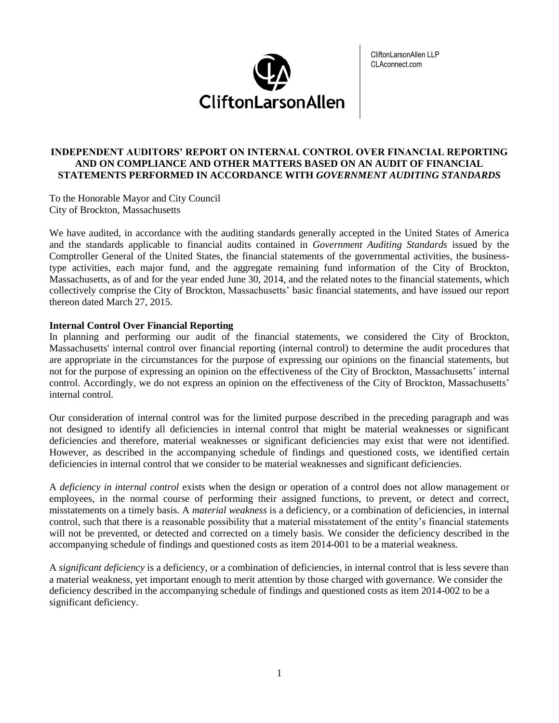

CliftonLarsonAllen LLP CLAconnect.com

# **INDEPENDENT AUDITORS' REPORT ON INTERNAL CONTROL OVER FINANCIAL REPORTING AND ON COMPLIANCE AND OTHER MATTERS BASED ON AN AUDIT OF FINANCIAL STATEMENTS PERFORMED IN ACCORDANCE WITH** *GOVERNMENT AUDITING STANDARDS*

To the Honorable Mayor and City Council City of Brockton, Massachusetts

We have audited, in accordance with the auditing standards generally accepted in the United States of America and the standards applicable to financial audits contained in *Government Auditing Standards* issued by the Comptroller General of the United States, the financial statements of the governmental activities, the businesstype activities, each major fund, and the aggregate remaining fund information of the City of Brockton, Massachusetts, as of and for the year ended June 30, 2014, and the related notes to the financial statements, which collectively comprise the City of Brockton, Massachusetts' basic financial statements, and have issued our report thereon dated March 27, 2015.

#### **Internal Control Over Financial Reporting**

In planning and performing our audit of the financial statements, we considered the City of Brockton, Massachusetts' internal control over financial reporting (internal control) to determine the audit procedures that are appropriate in the circumstances for the purpose of expressing our opinions on the financial statements, but not for the purpose of expressing an opinion on the effectiveness of the City of Brockton, Massachusetts' internal control. Accordingly, we do not express an opinion on the effectiveness of the City of Brockton, Massachusetts' internal control.

Our consideration of internal control was for the limited purpose described in the preceding paragraph and was not designed to identify all deficiencies in internal control that might be material weaknesses or significant deficiencies and therefore, material weaknesses or significant deficiencies may exist that were not identified. However, as described in the accompanying schedule of findings and questioned costs, we identified certain deficiencies in internal control that we consider to be material weaknesses and significant deficiencies.

A *deficiency in internal control* exists when the design or operation of a control does not allow management or employees, in the normal course of performing their assigned functions, to prevent, or detect and correct, misstatements on a timely basis. A *material weakness* is a deficiency, or a combination of deficiencies, in internal control, such that there is a reasonable possibility that a material misstatement of the entity's financial statements will not be prevented, or detected and corrected on a timely basis. We consider the deficiency described in the accompanying schedule of findings and questioned costs as item 2014-001 to be a material weakness.

A *significant deficiency* is a deficiency, or a combination of deficiencies, in internal control that is less severe than a material weakness, yet important enough to merit attention by those charged with governance. We consider the deficiency described in the accompanying schedule of findings and questioned costs as item 2014-002 to be a significant deficiency.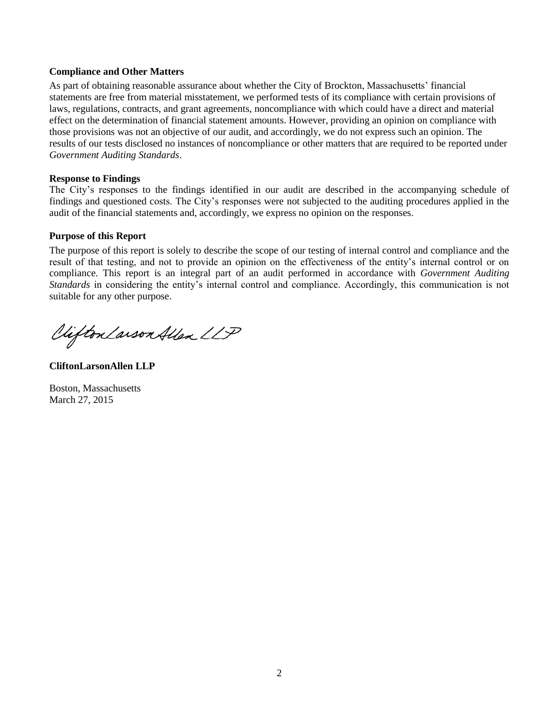#### **Compliance and Other Matters**

As part of obtaining reasonable assurance about whether the City of Brockton, Massachusetts' financial statements are free from material misstatement, we performed tests of its compliance with certain provisions of laws, regulations, contracts, and grant agreements, noncompliance with which could have a direct and material effect on the determination of financial statement amounts. However, providing an opinion on compliance with those provisions was not an objective of our audit, and accordingly, we do not express such an opinion. The results of our tests disclosed no instances of noncompliance or other matters that are required to be reported under *Government Auditing Standards*.

#### **Response to Findings**

The City's responses to the findings identified in our audit are described in the accompanying schedule of findings and questioned costs. The City's responses were not subjected to the auditing procedures applied in the audit of the financial statements and, accordingly, we express no opinion on the responses.

#### **Purpose of this Report**

The purpose of this report is solely to describe the scope of our testing of internal control and compliance and the result of that testing, and not to provide an opinion on the effectiveness of the entity's internal control or on compliance. This report is an integral part of an audit performed in accordance with *Government Auditing Standards* in considering the entity's internal control and compliance. Accordingly, this communication is not suitable for any other purpose.

Clifton Larson Allen LLP

**CliftonLarsonAllen LLP** 

Boston, Massachusetts March 27, 2015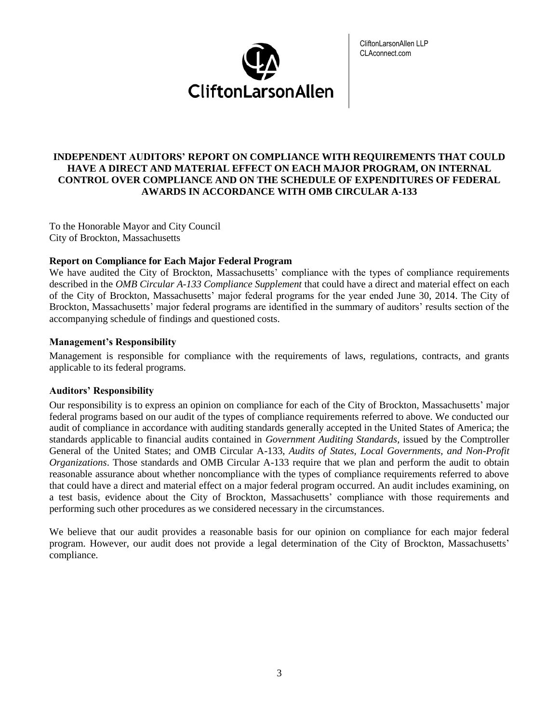

# **INDEPENDENT AUDITORS' REPORT ON COMPLIANCE WITH REQUIREMENTS THAT COULD HAVE A DIRECT AND MATERIAL EFFECT ON EACH MAJOR PROGRAM, ON INTERNAL CONTROL OVER COMPLIANCE AND ON THE SCHEDULE OF EXPENDITURES OF FEDERAL AWARDS IN ACCORDANCE WITH OMB CIRCULAR A-133**

To the Honorable Mayor and City Council City of Brockton, Massachusetts

# **Report on Compliance for Each Major Federal Program**

We have audited the City of Brockton, Massachusetts' compliance with the types of compliance requirements described in the *OMB Circular A-133 Compliance Supplement* that could have a direct and material effect on each of the City of Brockton, Massachusetts' major federal programs for the year ended June 30, 2014. The City of Brockton, Massachusetts' major federal programs are identified in the summary of auditors' results section of the accompanying schedule of findings and questioned costs.

#### **Management's Responsibility**

Management is responsible for compliance with the requirements of laws, regulations, contracts, and grants applicable to its federal programs.

#### **Auditors' Responsibility**

Our responsibility is to express an opinion on compliance for each of the City of Brockton, Massachusetts' major federal programs based on our audit of the types of compliance requirements referred to above. We conducted our audit of compliance in accordance with auditing standards generally accepted in the United States of America; the standards applicable to financial audits contained in *Government Auditing Standards*, issued by the Comptroller General of the United States; and OMB Circular A-133, *Audits of States, Local Governments, and Non-Profit Organizations*. Those standards and OMB Circular A-133 require that we plan and perform the audit to obtain reasonable assurance about whether noncompliance with the types of compliance requirements referred to above that could have a direct and material effect on a major federal program occurred. An audit includes examining, on a test basis, evidence about the City of Brockton, Massachusetts' compliance with those requirements and performing such other procedures as we considered necessary in the circumstances.

We believe that our audit provides a reasonable basis for our opinion on compliance for each major federal program. However, our audit does not provide a legal determination of the City of Brockton, Massachusetts' compliance.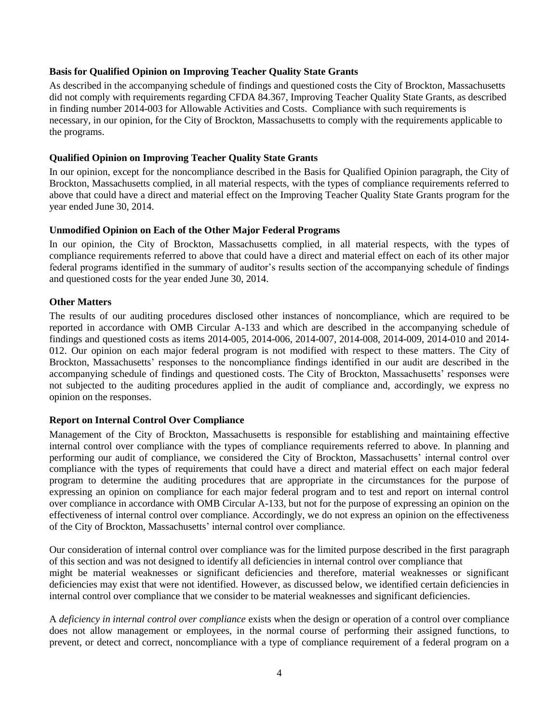#### **Basis for Qualified Opinion on Improving Teacher Quality State Grants**

As described in the accompanying schedule of findings and questioned costs the City of Brockton, Massachusetts did not comply with requirements regarding CFDA 84.367, Improving Teacher Quality State Grants, as described in finding number 2014-003 for Allowable Activities and Costs. Compliance with such requirements is necessary, in our opinion, for the City of Brockton, Massachusetts to comply with the requirements applicable to the programs.

#### **Qualified Opinion on Improving Teacher Quality State Grants**

In our opinion, except for the noncompliance described in the Basis for Qualified Opinion paragraph, the City of Brockton, Massachusetts complied, in all material respects, with the types of compliance requirements referred to above that could have a direct and material effect on the Improving Teacher Quality State Grants program for the year ended June 30, 2014.

#### **Unmodified Opinion on Each of the Other Major Federal Programs**

In our opinion, the City of Brockton, Massachusetts complied, in all material respects, with the types of compliance requirements referred to above that could have a direct and material effect on each of its other major federal programs identified in the summary of auditor's results section of the accompanying schedule of findings and questioned costs for the year ended June 30, 2014.

#### **Other Matters**

The results of our auditing procedures disclosed other instances of noncompliance, which are required to be reported in accordance with OMB Circular A-133 and which are described in the accompanying schedule of findings and questioned costs as items 2014-005, 2014-006, 2014-007, 2014-008, 2014-009, 2014-010 and 2014- 012. Our opinion on each major federal program is not modified with respect to these matters. The City of Brockton, Massachusetts' responses to the noncompliance findings identified in our audit are described in the accompanying schedule of findings and questioned costs. The City of Brockton, Massachusetts' responses were not subjected to the auditing procedures applied in the audit of compliance and, accordingly, we express no opinion on the responses.

#### **Report on Internal Control Over Compliance**

Management of the City of Brockton, Massachusetts is responsible for establishing and maintaining effective internal control over compliance with the types of compliance requirements referred to above. In planning and performing our audit of compliance, we considered the City of Brockton, Massachusetts' internal control over compliance with the types of requirements that could have a direct and material effect on each major federal program to determine the auditing procedures that are appropriate in the circumstances for the purpose of expressing an opinion on compliance for each major federal program and to test and report on internal control over compliance in accordance with OMB Circular A-133, but not for the purpose of expressing an opinion on the effectiveness of internal control over compliance. Accordingly, we do not express an opinion on the effectiveness of the City of Brockton, Massachusetts' internal control over compliance.

Our consideration of internal control over compliance was for the limited purpose described in the first paragraph of this section and was not designed to identify all deficiencies in internal control over compliance that might be material weaknesses or significant deficiencies and therefore, material weaknesses or significant deficiencies may exist that were not identified. However, as discussed below, we identified certain deficiencies in internal control over compliance that we consider to be material weaknesses and significant deficiencies.

A *deficiency in internal control over compliance* exists when the design or operation of a control over compliance does not allow management or employees, in the normal course of performing their assigned functions, to prevent, or detect and correct, noncompliance with a type of compliance requirement of a federal program on a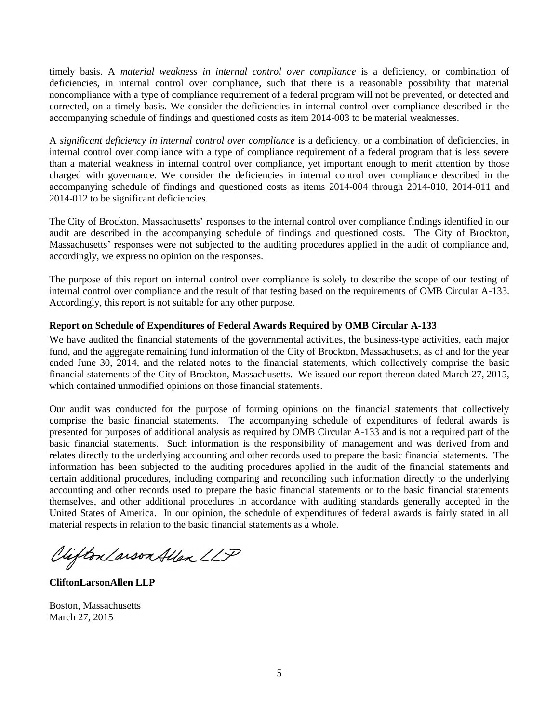timely basis. A *material weakness in internal control over compliance* is a deficiency, or combination of deficiencies, in internal control over compliance, such that there is a reasonable possibility that material noncompliance with a type of compliance requirement of a federal program will not be prevented, or detected and corrected, on a timely basis. We consider the deficiencies in internal control over compliance described in the accompanying schedule of findings and questioned costs as item 2014-003 to be material weaknesses.

A *significant deficiency in internal control over compliance* is a deficiency, or a combination of deficiencies, in internal control over compliance with a type of compliance requirement of a federal program that is less severe than a material weakness in internal control over compliance, yet important enough to merit attention by those charged with governance. We consider the deficiencies in internal control over compliance described in the accompanying schedule of findings and questioned costs as items 2014-004 through 2014-010, 2014-011 and 2014-012 to be significant deficiencies.

The City of Brockton, Massachusetts' responses to the internal control over compliance findings identified in our audit are described in the accompanying schedule of findings and questioned costs. The City of Brockton, Massachusetts' responses were not subjected to the auditing procedures applied in the audit of compliance and, accordingly, we express no opinion on the responses.

The purpose of this report on internal control over compliance is solely to describe the scope of our testing of internal control over compliance and the result of that testing based on the requirements of OMB Circular A-133. Accordingly, this report is not suitable for any other purpose.

#### **Report on Schedule of Expenditures of Federal Awards Required by OMB Circular A-133**

We have audited the financial statements of the governmental activities, the business-type activities, each major fund, and the aggregate remaining fund information of the City of Brockton, Massachusetts, as of and for the year ended June 30, 2014, and the related notes to the financial statements, which collectively comprise the basic financial statements of the City of Brockton, Massachusetts. We issued our report thereon dated March 27, 2015, which contained unmodified opinions on those financial statements.

Our audit was conducted for the purpose of forming opinions on the financial statements that collectively comprise the basic financial statements. The accompanying schedule of expenditures of federal awards is presented for purposes of additional analysis as required by OMB Circular A-133 and is not a required part of the basic financial statements. Such information is the responsibility of management and was derived from and relates directly to the underlying accounting and other records used to prepare the basic financial statements. The information has been subjected to the auditing procedures applied in the audit of the financial statements and certain additional procedures, including comparing and reconciling such information directly to the underlying accounting and other records used to prepare the basic financial statements or to the basic financial statements themselves, and other additional procedures in accordance with auditing standards generally accepted in the United States of America. In our opinion, the schedule of expenditures of federal awards is fairly stated in all material respects in relation to the basic financial statements as a whole.

Viifton Larson Allen LLP

**CliftonLarsonAllen LLP** 

Boston, Massachusetts March 27, 2015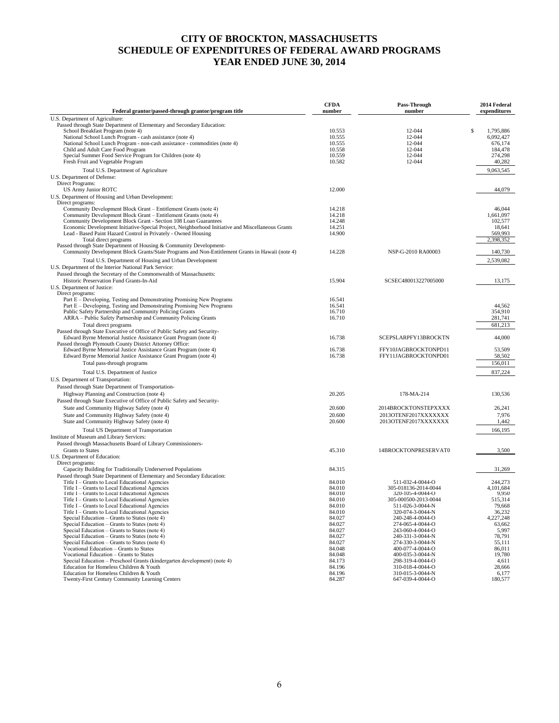#### **CITY OF BROCKTON, MASSACHUSETTS SCHEDULE OF EXPENDITURES OF FEDERAL AWARD PROGRAMS YEAR ENDED JUNE 30, 2014**

| Federal grantor/passed-through grantor/program title                                                                                                                   | <b>CFDA</b><br>number | Pass-Through<br>number               |   | 2014 Federal<br>expenditures |
|------------------------------------------------------------------------------------------------------------------------------------------------------------------------|-----------------------|--------------------------------------|---|------------------------------|
| U.S. Department of Agriculture:                                                                                                                                        |                       |                                      |   |                              |
| Passed through State Department of Elementary and Secondary Education:                                                                                                 |                       |                                      |   |                              |
| School Breakfast Program (note 4)<br>National School Lunch Program - cash assistance (note 4)                                                                          | 10.553<br>10.555      | 12-044<br>12-044                     | S | 1,795,886<br>6,092,427       |
| National School Lunch Program - non-cash assistance - commodities (note 4)                                                                                             | 10.555                | 12-044                               |   | 676,174                      |
| Child and Adult Care Food Program                                                                                                                                      | 10.558                | 12-044                               |   | 184,478                      |
| Special Summer Food Service Program for Children (note 4)                                                                                                              | 10.559                | 12-044                               |   | 274,298                      |
| Fresh Fruit and Vegetable Program                                                                                                                                      | 10.582                | 12-044                               |   | 40,282                       |
| Total U.S. Department of Agriculture                                                                                                                                   |                       |                                      |   | 9,063,545                    |
| U.S. Department of Defense:                                                                                                                                            |                       |                                      |   |                              |
| Direct Programs:<br><b>US Army Junior ROTC</b>                                                                                                                         | 12.000                |                                      |   | 44,079                       |
| U.S. Department of Housing and Urban Development:                                                                                                                      |                       |                                      |   |                              |
| Direct programs:                                                                                                                                                       |                       |                                      |   |                              |
| Community Development Block Grant - Entitlement Grants (note 4)                                                                                                        | 14.218                |                                      |   | 46,044                       |
| Community Development Block Grant - Entitlement Grants (note 4)                                                                                                        | 14.218<br>14.248      |                                      |   | 1,661,097                    |
| Community Development Block Grant - Section 108 Loan Guarantees<br>Economic Development Initiative-Special Project, Neighborhood Initiative and Miscellaneous Grants   | 14.251                |                                      |   | 102,577<br>18,641            |
| Lead - Based Paint Hazard Control in Privately - Owned Housing                                                                                                         | 14.900                |                                      |   | 569,993                      |
| Total direct programs                                                                                                                                                  |                       |                                      |   | 2,398,352                    |
| Passed through State Department of Housing & Community Development-<br>Community Development Block Grants/State Programs and Non-Entitlement Grants in Hawaii (note 4) | 14.228                | NSP-G-2010 RA00003                   |   |                              |
|                                                                                                                                                                        |                       |                                      |   | 140,730                      |
| Total U.S. Department of Housing and Urban Development                                                                                                                 |                       |                                      |   | 2.539.082                    |
| U.S. Department of the Interior National Park Service:<br>Passed through the Secretary of the Commonwealth of Massachusetts:                                           |                       |                                      |   |                              |
| Historic Preservation Fund Grants-In-Aid                                                                                                                               | 15.904                | SCSEC480013227005000                 |   | 13,175                       |
| U.S. Department of Justice:                                                                                                                                            |                       |                                      |   |                              |
| Direct programs:                                                                                                                                                       |                       |                                      |   |                              |
| Part E – Developing, Testing and Demonstrating Promising New Programs                                                                                                  | 16.541                |                                      |   |                              |
| Part E – Developing, Testing and Demonstrating Promising New Programs<br>Public Safety Partnership and Community Policing Grants                                       | 16.541<br>16.710      |                                      |   | 44,562<br>354,910            |
| ARRA - Public Safety Partnership and Community Policing Grants                                                                                                         | 16.710                |                                      |   | 281,741                      |
| Total direct programs                                                                                                                                                  |                       |                                      |   | 681,213                      |
| Passed through State Executive of Office of Public Safety and Security-                                                                                                |                       |                                      |   |                              |
| Edward Byrne Memorial Justice Assistance Grant Program (note 4)<br>Passed through Plymouth County District Attorney Office:                                            | 16.738                | SCEPSLARPFY13BROCKTN                 |   | 44,000                       |
| Edward Byrne Memorial Justice Assistance Grant Program (note 4)                                                                                                        | 16.738                | FFY10JAGBROCKTONPD11                 |   | 53,509                       |
| Edward Byrne Memorial Justice Assistance Grant Program (note 4)                                                                                                        | 16.738                | FFY11JAGBROCKTONPD01                 |   | 58,502                       |
| Total pass-through programs                                                                                                                                            |                       |                                      |   | 156,011                      |
| Total U.S. Department of Justice                                                                                                                                       |                       |                                      |   | 837,224                      |
| U.S. Department of Transportation:                                                                                                                                     |                       |                                      |   |                              |
| Passed through State Department of Transportation-                                                                                                                     |                       |                                      |   |                              |
| Highway Planning and Construction (note 4)                                                                                                                             | 20.205                | 178-MA-214                           |   | 130,536                      |
| Passed through State Executive of Office of Public Safety and Security-                                                                                                |                       |                                      |   |                              |
| State and Community Highway Safety (note 4)                                                                                                                            | 20.600                | 2014BROCKTONSTEPXXXX                 |   | 26,241                       |
| State and Community Highway Safety (note 4)                                                                                                                            | 20.600                | 2013OTENF2017XXXXXXX                 |   | 7,976                        |
| State and Community Highway Safety (note 4)                                                                                                                            | 20.600                | 2013OTENF2017XXXXXXX                 |   | 1,442                        |
| Total US Department of Transportation                                                                                                                                  |                       |                                      |   | 166,195                      |
| Institute of Museum and Library Services:<br>Passed through Massachusetts Board of Library Commissioners-                                                              |                       |                                      |   |                              |
| <b>Grants</b> to States                                                                                                                                                | 45.310                | 14BROCKTONPRESERVAT0                 |   | 3,500                        |
| U.S. Department of Education:                                                                                                                                          |                       |                                      |   |                              |
| Direct programs:                                                                                                                                                       |                       |                                      |   |                              |
| Capacity Building for Traditionally Underserved Populations                                                                                                            | 84.315                |                                      |   | 31,269                       |
| Passed through State Department of Elementary and Secondary Education:<br>Title I – Grants to Local Educational Agencies                                               | 84.010                | 511-032-4-0044-O                     |   | 244,273                      |
| Title I - Grants to Local Educational Agencies                                                                                                                         | 84.010                | 305-018136-2014-0044                 |   | 4,101,684                    |
| Title I – Grants to Local Educational Agencies                                                                                                                         | 84.010                | 320-105-4-0044-O                     |   | 9,950                        |
| Title I – Grants to Local Educational Agencies                                                                                                                         | 84.010                | 305-000500-2013-0044                 |   | 515,314                      |
| Title I – Grants to Local Educational Agencies                                                                                                                         | 84.010                | 511-026-3-0044-N                     |   | 79,668                       |
| Title I – Grants to Local Educational Agencies<br>Special Education – Grants to States (note 4)                                                                        | 84.010<br>84.027      | 320-074-3-0044-N<br>240-248-4-0044-O |   | 36,232<br>4,227,248          |
| Special Education - Grants to States (note 4)                                                                                                                          | 84.027                | 274-065-4-0044-O                     |   | 63,662                       |
| Special Education - Grants to States (note 4)                                                                                                                          | 84.027                | 243-060-4-0044-O                     |   | 5,997                        |
| Special Education – Grants to States (note 4)                                                                                                                          | 84.027                | 240-331-3-0044-N                     |   | 78,791                       |
| Special Education – Grants to States (note 4)                                                                                                                          | 84.027                | 274-330-3-0044-N                     |   | 55,111                       |
| Vocational Education - Grants to States                                                                                                                                | 84.048                | 400-077-4-0044-O                     |   | 86,011                       |
| Vocational Education - Grants to States<br>Special Education – Preschool Grants (kindergarten development) (note 4)                                                    | 84.048<br>84.173      | 400-035-3-0044-N<br>298-319-4-0044-O |   | 19,780<br>4,611              |
| Education for Homeless Children & Youth                                                                                                                                | 84.196                | 310-018-4-0044-O                     |   | 28,666                       |
| Education for Homeless Children & Youth                                                                                                                                | 84.196                | 310-015-3-0044-N                     |   | 6,177                        |
| Twenty-First Century Community Learning Centers                                                                                                                        | 84.287                | 647-039-4-0044-O                     |   | 180,577                      |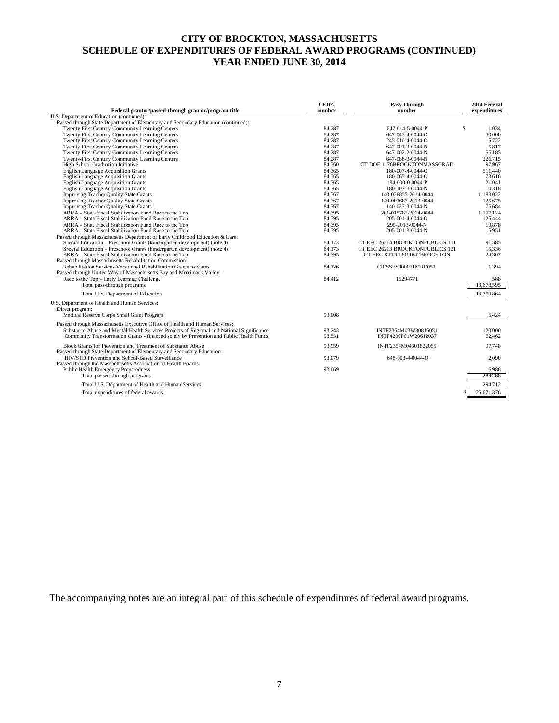# **CITY OF BROCKTON, MASSACHUSETTS SCHEDULE OF EXPENDITURES OF FEDERAL AWARD PROGRAMS (CONTINUED) YEAR ENDED JUNE 30, 2014**

| Federal grantor/passed-through grantor/program title                                      | <b>CFDA</b><br>number | Pass-Through<br>number           | 2014 Federal<br>expenditures |
|-------------------------------------------------------------------------------------------|-----------------------|----------------------------------|------------------------------|
| U.S. Department of Education (continued):                                                 |                       |                                  |                              |
| Passed through State Department of Elementary and Secondary Education (continued):        |                       |                                  |                              |
| Twenty-First Century Community Learning Centers                                           | 84.287                | 647-014-5-0044-P                 | \$<br>1.034                  |
| Twenty-First Century Community Learning Centers                                           | 84.287                | 647-043-4-0044-O                 | 50,000                       |
| Twenty-First Century Community Learning Centers                                           | 84.287                | 245-010-4-0044-O                 | 15.722                       |
| Twenty-First Century Community Learning Centers                                           | 84.287                | 647-001-3-0044-N                 | 5.817                        |
| Twenty-First Century Community Learning Centers                                           | 84.287                | 647-002-2-0044-N                 | 55.185                       |
| Twenty-First Century Community Learning Centers                                           | 84.287                | 647-088-3-0044-N                 | 226.715                      |
| High School Graduation Initiative                                                         | 84.360                | CT DOE 1176BROCKTONMASSGRAD      | 97.967                       |
| <b>English Language Acquisition Grants</b>                                                | 84.365                | 180-007-4-0044-O                 | 511.440                      |
| English Language Acquisition Grants                                                       | 84.365                | 180-065-4-0044-O                 | 73.616                       |
| English Language Acquisition Grants                                                       | 84.365                | 184-000-0-0044-P                 | 21.041                       |
| <b>English Language Acquisition Grants</b>                                                | 84.365                | 180-107-3-0044-N                 | 10.318                       |
| Improving Teacher Quality State Grants                                                    | 84.367                | 140-028855-2014-0044             | 1,183,022                    |
| <b>Improving Teacher Quality State Grants</b>                                             | 84.367                | 140-001687-2013-0044             | 125,675                      |
| Improving Teacher Quality State Grants                                                    | 84.367                | 140-027-3-0044-N                 | 75.684                       |
| ARRA - State Fiscal Stabilization Fund Race to the Top                                    | 84.395                | 201-015782-2014-0044             | 1.197.124                    |
| ARRA - State Fiscal Stabilization Fund Race to the Top                                    | 84.395                | 205-001-4-0044-O                 | 125,444                      |
| ARRA – State Fiscal Stabilization Fund Race to the Top                                    | 84.395                | 295-2013-0044-N                  | 19,878                       |
| ARRA – State Fiscal Stabilization Fund Race to the Top                                    | 84.395                | 205-001-3-0044-N                 | 5.951                        |
| Passed through Massachusetts Department of Early Childhood Education & Care:              |                       |                                  |                              |
| Special Education – Preschool Grants (kindergarten development) (note 4)                  | 84.173                | CT EEC 26214 BROCKTONPUBLICS 111 | 91.585                       |
| Special Education - Preschool Grants (kindergarten development) (note 4)                  | 84.173                | CT EEC 26213 BROCKTONPUBLICS 121 | 15.336                       |
| ARRA - State Fiscal Stabilization Fund Race to the Top                                    | 84.395                | CT EEC RTTT13011642BROCKTON      | 24,307                       |
| Passed through Massachusetts Rehabilitation Commission-                                   |                       |                                  |                              |
| Rehabilitation Services Vocational Rehabilitation Grants to States                        | 84.126                | CIESSES000011MRC051              | 1.394                        |
| Passed through United Way of Massachusetts Bay and Merrimack Valley-                      |                       |                                  |                              |
| Race to the Top - Early Learning Challenge                                                | 84.412                | 15294771                         | 588                          |
| Total pass-through programs                                                               |                       |                                  | 13,678,595                   |
|                                                                                           |                       |                                  |                              |
| Total U.S. Department of Education                                                        |                       |                                  | 13,709,864                   |
| U.S. Department of Health and Human Services:                                             |                       |                                  |                              |
| Direct program:                                                                           |                       |                                  |                              |
| Medical Reserve Corps Small Grant Program                                                 | 93.008                |                                  | 5,424                        |
|                                                                                           |                       |                                  |                              |
| Passed through Massachusetts Executive Office of Health and Human Services:               |                       |                                  |                              |
| Substance Abuse and Mental Health Services Projects of Regional and National Significance | 93.243                | INTF2354M03W30816051             | 120,000                      |
| Community Transformation Grants - financed solely by Prevention and Public Health Funds   | 93.531                | INTF4200P01W20612037             | 62.462                       |
| Block Grants for Prevention and Treatment of Substance Abuse                              | 93.959                | INTF2354M04301822055             | 97.748                       |
| Passed through State Department of Elementary and Secondary Education:                    |                       |                                  |                              |
| HIV/STD Prevention and School-Based Surveillance                                          | 93.079                | 648-003-4-0044-O                 | 2.090                        |
| Passed through the Massachusetts Association of Health Boards-                            |                       |                                  |                              |
| <b>Public Health Emergency Preparedness</b>                                               | 93.069                |                                  | 6.988                        |
| Total passed-through programs                                                             |                       |                                  | 289,288                      |
|                                                                                           |                       |                                  |                              |
| Total U.S. Department of Health and Human Services                                        |                       |                                  | 294,712                      |
| Total expenditures of federal awards                                                      |                       |                                  | 26,671,376                   |
|                                                                                           |                       |                                  |                              |

The accompanying notes are an integral part of this schedule of expenditures of federal award programs.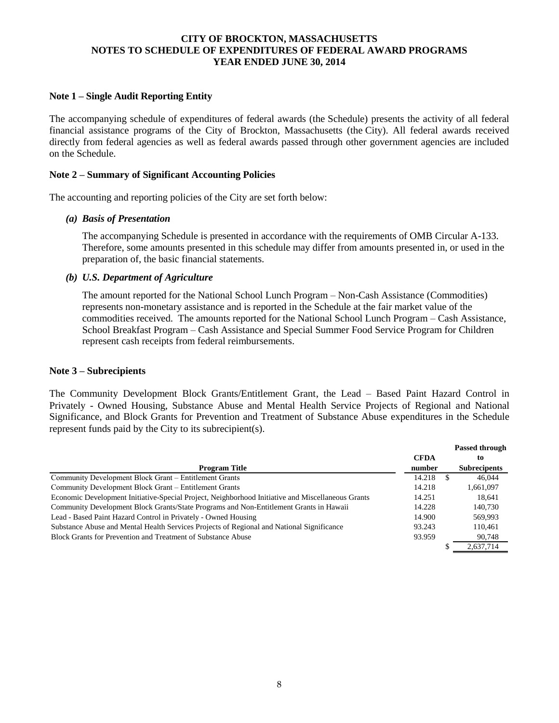#### **CITY OF BROCKTON, MASSACHUSETTS NOTES TO SCHEDULE OF EXPENDITURES OF FEDERAL AWARD PROGRAMS YEAR ENDED JUNE 30, 2014**

#### **Note 1 – Single Audit Reporting Entity**

The accompanying schedule of expenditures of federal awards (the Schedule) presents the activity of all federal financial assistance programs of the City of Brockton, Massachusetts (the City). All federal awards received directly from federal agencies as well as federal awards passed through other government agencies are included on the Schedule.

#### **Note 2 – Summary of Significant Accounting Policies**

The accounting and reporting policies of the City are set forth below:

#### *(a) Basis of Presentation*

The accompanying Schedule is presented in accordance with the requirements of OMB Circular A-133. Therefore, some amounts presented in this schedule may differ from amounts presented in, or used in the preparation of, the basic financial statements.

#### *(b) U.S. Department of Agriculture*

The amount reported for the National School Lunch Program – Non-Cash Assistance (Commodities) represents non-monetary assistance and is reported in the Schedule at the fair market value of the commodities received. The amounts reported for the National School Lunch Program – Cash Assistance, School Breakfast Program – Cash Assistance and Special Summer Food Service Program for Children represent cash receipts from federal reimbursements.

# **Note 3 – Subrecipients**

The Community Development Block Grants/Entitlement Grant, the Lead – Based Paint Hazard Control in Privately - Owned Housing, Substance Abuse and Mental Health Service Projects of Regional and National represent funds paid by the City to its subrecipient(s).

|                                                                                                   |             |     | <b>Passed through</b> |
|---------------------------------------------------------------------------------------------------|-------------|-----|-----------------------|
|                                                                                                   | <b>CFDA</b> |     | to                    |
| <b>Program Title</b>                                                                              | number      |     | <b>Subrecipents</b>   |
| Community Development Block Grant – Entitlement Grants                                            | 14.218      | \$. | 46,044                |
| Community Development Block Grant – Entitlement Grants                                            | 14.218      |     | 1,661,097             |
| Economic Development Initiative-Special Project, Neighborhood Initiative and Miscellaneous Grants | 14.251      |     | 18.641                |
| Community Development Block Grants/State Programs and Non-Entitlement Grants in Hawaii            | 14.228      |     | 140,730               |
| Lead - Based Paint Hazard Control in Privately - Owned Housing                                    | 14.900      |     | 569,993               |
| Substance Abuse and Mental Health Services Projects of Regional and National Significance         | 93.243      |     | 110.461               |
| Block Grants for Prevention and Treatment of Substance Abuse                                      | 93.959      |     | 90.748                |
|                                                                                                   |             | \$  | 2,637,714             |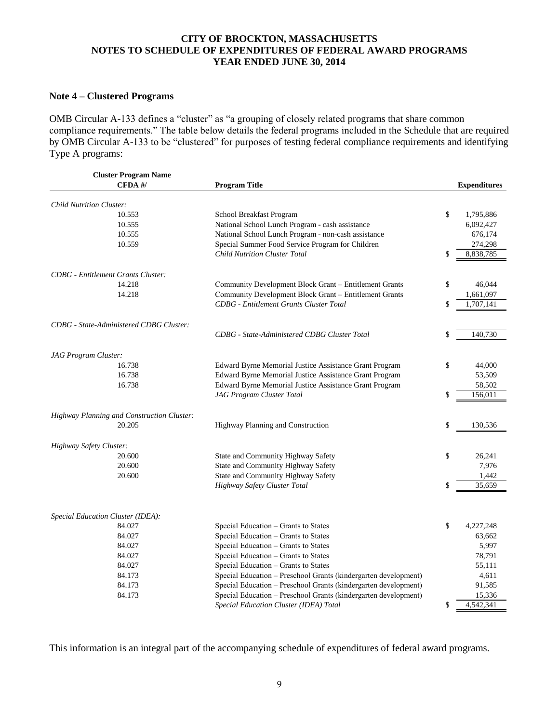#### **CITY OF BROCKTON, MASSACHUSETTS NOTES TO SCHEDULE OF EXPENDITURES OF FEDERAL AWARD PROGRAMS YEAR ENDED JUNE 30, 2014**

## **Note 4 – Clustered Programs**

OMB Circular A-133 defines a "cluster" as "a grouping of closely related programs that share common compliance requirements." The table below details the federal programs included in the Schedule that are required by OMB Circular A-133 to be "clustered" for purposes of testing federal compliance requirements and identifying Type A programs:

| <b>Cluster Program Name</b>                |                                                                 |    |                     |
|--------------------------------------------|-----------------------------------------------------------------|----|---------------------|
| $CFDA$ #/                                  | <b>Program Title</b>                                            |    | <b>Expenditures</b> |
| <b>Child Nutrition Cluster:</b>            |                                                                 |    |                     |
| 10.553                                     | School Breakfast Program                                        | \$ | 1,795,886           |
| 10.555                                     | National School Lunch Program - cash assistance                 |    | 6,092,427           |
| 10.555                                     | National School Lunch Program - non-cash assistance             |    | 676,174             |
| 10.559                                     | Special Summer Food Service Program for Children                |    | 274,298             |
|                                            | <b>Child Nutrition Cluster Total</b>                            | \$ | 8,838,785           |
| <b>CDBG</b> - Entitlement Grants Cluster:  |                                                                 |    |                     |
| 14.218                                     | Community Development Block Grant - Entitlement Grants          | \$ | 46,044              |
| 14.218                                     | Community Development Block Grant - Entitlement Grants          |    | 1,661,097           |
|                                            | <b>CDBG</b> - Entitlement Grants Cluster Total                  | \$ | 1,707,141           |
| CDBG - State-Administered CDBG Cluster:    |                                                                 |    |                     |
|                                            | CDBG - State-Administered CDBG Cluster Total                    | \$ | 140,730             |
| JAG Program Cluster:                       |                                                                 |    |                     |
| 16.738                                     | Edward Byrne Memorial Justice Assistance Grant Program          | \$ | 44,000              |
| 16.738                                     | Edward Byrne Memorial Justice Assistance Grant Program          |    | 53,509              |
| 16.738                                     | Edward Byrne Memorial Justice Assistance Grant Program          |    | 58,502              |
|                                            | JAG Program Cluster Total                                       | \$ | 156,011             |
| Highway Planning and Construction Cluster: |                                                                 |    |                     |
| 20.205                                     | <b>Highway Planning and Construction</b>                        | \$ | 130,536             |
| Highway Safety Cluster:                    |                                                                 |    |                     |
| 20.600                                     | State and Community Highway Safety                              | \$ | 26,241              |
| 20.600                                     | State and Community Highway Safety                              |    | 7,976               |
| 20.600                                     | <b>State and Community Highway Safety</b>                       |    | 1,442               |
|                                            | Highway Safety Cluster Total                                    | \$ | 35,659              |
|                                            |                                                                 |    |                     |
| Special Education Cluster (IDEA):          |                                                                 |    |                     |
| 84.027                                     | Special Education – Grants to States                            | \$ | 4,227,248           |
| 84.027                                     | Special Education – Grants to States                            |    | 63,662              |
| 84.027                                     | Special Education – Grants to States                            |    | 5,997               |
| 84.027                                     | Special Education – Grants to States                            |    | 78,791              |
| 84.027                                     | Special Education – Grants to States                            |    | 55,111              |
| 84.173                                     | Special Education – Preschool Grants (kindergarten development) |    | 4,611               |
| 84.173                                     | Special Education - Preschool Grants (kindergarten development) |    | 91,585              |
| 84.173                                     | Special Education - Preschool Grants (kindergarten development) |    | 15,336              |
|                                            | Special Education Cluster (IDEA) Total                          | -S | 4,542,341           |

This information is an integral part of the accompanying schedule of expenditures of federal award programs.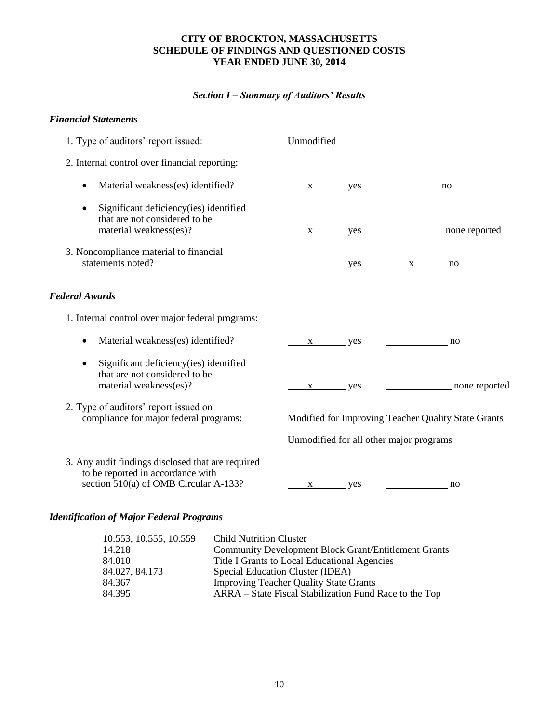# *Section I – Summary of Auditors' Results*

#### *Financial Statements*

| 1. Type of auditors' report issued:                                                                                             | Unmodified                                          |
|---------------------------------------------------------------------------------------------------------------------------------|-----------------------------------------------------|
| 2. Internal control over financial reporting:                                                                                   |                                                     |
| Material weakness(es) identified?<br>$\bullet$                                                                                  | $x \neq y$ es<br>no                                 |
| Significant deficiency(ies) identified<br>$\bullet$<br>that are not considered to be<br>material weakness(es)?                  | none reported<br>yes<br>$\mathbf X$                 |
| 3. Noncompliance material to financial<br>statements noted?                                                                     | yes<br>no<br>$\mathbf{X}$                           |
| <b>Federal Awards</b>                                                                                                           |                                                     |
| 1. Internal control over major federal programs:                                                                                |                                                     |
| Material weakness(es) identified?                                                                                               | x yes<br>no                                         |
| Significant deficiency(ies) identified<br>$\bullet$<br>that are not considered to be<br>material weakness(es)?                  | none reported<br>x yes                              |
| 2. Type of auditors' report issued on<br>compliance for major federal programs:                                                 | Modified for Improving Teacher Quality State Grants |
|                                                                                                                                 | Unmodified for all other major programs             |
| 3. Any audit findings disclosed that are required<br>to be reported in accordance with<br>section 510(a) of OMB Circular A-133? | yes<br>no<br>X                                      |

# *Identification of Major Federal Programs*

| 10.553, 10.555, 10.559 | <b>Child Nutrition Cluster</b>                              |
|------------------------|-------------------------------------------------------------|
| 14.218                 | <b>Community Development Block Grant/Entitlement Grants</b> |
| 84.010                 | Title I Grants to Local Educational Agencies                |
| 84.027, 84.173         | Special Education Cluster (IDEA)                            |
| 84.367                 | <b>Improving Teacher Quality State Grants</b>               |
| 84.395                 | ARRA – State Fiscal Stabilization Fund Race to the Top      |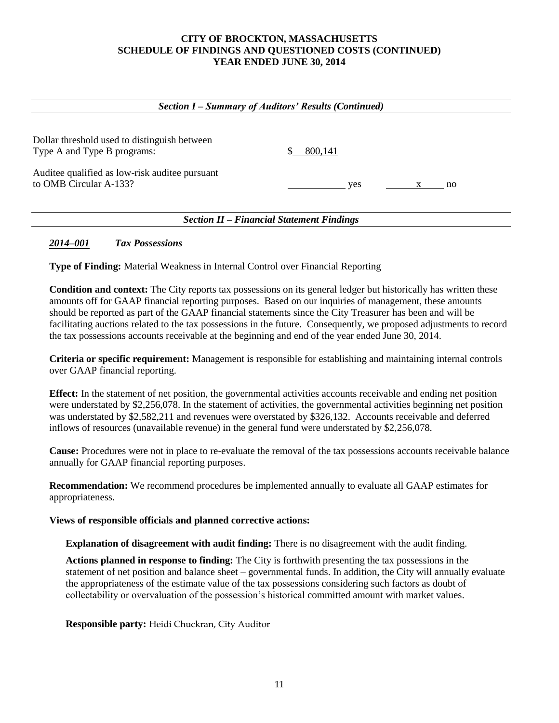| Section I – Summary of Auditors' Results (Continued)                        |                                                  |  |
|-----------------------------------------------------------------------------|--------------------------------------------------|--|
| Dollar threshold used to distinguish between<br>Type A and Type B programs: | 800,141<br>S.                                    |  |
| Auditee qualified as low-risk auditee pursuant<br>to OMB Circular A-133?    | ves<br>no                                        |  |
|                                                                             | <b>Section II – Financial Statement Findings</b> |  |

# *2014–001 Tax Possessions*

**Type of Finding:** Material Weakness in Internal Control over Financial Reporting

**Condition and context:** The City reports tax possessions on its general ledger but historically has written these amounts off for GAAP financial reporting purposes. Based on our inquiries of management, these amounts should be reported as part of the GAAP financial statements since the City Treasurer has been and will be facilitating auctions related to the tax possessions in the future. Consequently, we proposed adjustments to record the tax possessions accounts receivable at the beginning and end of the year ended June 30, 2014.

**Criteria or specific requirement:** Management is responsible for establishing and maintaining internal controls over GAAP financial reporting.

**Effect:** In the statement of net position, the governmental activities accounts receivable and ending net position were understated by \$2,256,078. In the statement of activities, the governmental activities beginning net position was understated by \$2,582,211 and revenues were overstated by \$326,132. Accounts receivable and deferred inflows of resources (unavailable revenue) in the general fund were understated by \$2,256,078.

**Cause:** Procedures were not in place to re-evaluate the removal of the tax possessions accounts receivable balance annually for GAAP financial reporting purposes.

**Recommendation:** We recommend procedures be implemented annually to evaluate all GAAP estimates for appropriateness.

#### **Views of responsible officials and planned corrective actions:**

**Explanation of disagreement with audit finding:** There is no disagreement with the audit finding.

**Actions planned in response to finding:** The City is forthwith presenting the tax possessions in the statement of net position and balance sheet – governmental funds. In addition, the City will annually evaluate the appropriateness of the estimate value of the tax possessions considering such factors as doubt of collectability or overvaluation of the possession's historical committed amount with market values.

**Responsible party:** Heidi Chuckran, City Auditor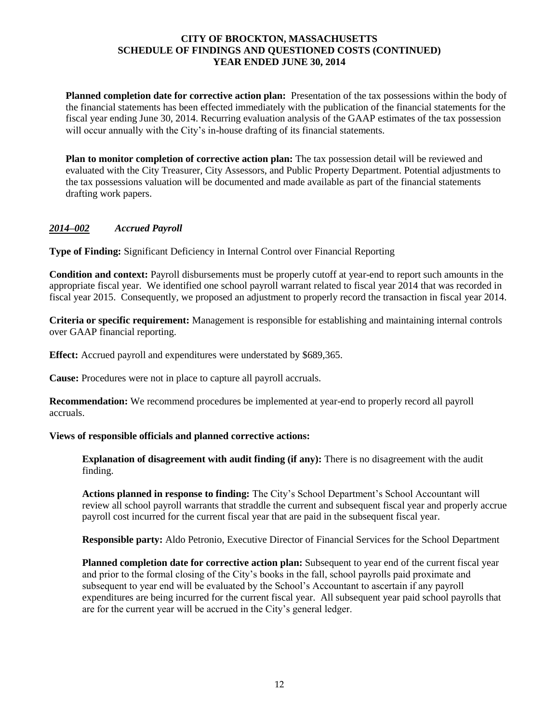**Planned completion date for corrective action plan:** Presentation of the tax possessions within the body of the financial statements has been effected immediately with the publication of the financial statements for the fiscal year ending June 30, 2014. Recurring evaluation analysis of the GAAP estimates of the tax possession will occur annually with the City's in-house drafting of its financial statements.

**Plan to monitor completion of corrective action plan:** The tax possession detail will be reviewed and evaluated with the City Treasurer, City Assessors, and Public Property Department. Potential adjustments to the tax possessions valuation will be documented and made available as part of the financial statements drafting work papers.

# *2014–002 Accrued Payroll*

**Type of Finding:** Significant Deficiency in Internal Control over Financial Reporting

**Condition and context:** Payroll disbursements must be properly cutoff at year-end to report such amounts in the appropriate fiscal year. We identified one school payroll warrant related to fiscal year 2014 that was recorded in fiscal year 2015. Consequently, we proposed an adjustment to properly record the transaction in fiscal year 2014.

**Criteria or specific requirement:** Management is responsible for establishing and maintaining internal controls over GAAP financial reporting.

**Effect:** Accrued payroll and expenditures were understated by \$689,365.

**Cause:** Procedures were not in place to capture all payroll accruals.

**Recommendation:** We recommend procedures be implemented at year-end to properly record all payroll accruals.

#### **Views of responsible officials and planned corrective actions:**

**Explanation of disagreement with audit finding (if any):** There is no disagreement with the audit finding.

**Actions planned in response to finding:** The City's School Department's School Accountant will review all school payroll warrants that straddle the current and subsequent fiscal year and properly accrue payroll cost incurred for the current fiscal year that are paid in the subsequent fiscal year.

**Responsible party:** Aldo Petronio, Executive Director of Financial Services for the School Department

**Planned completion date for corrective action plan:** Subsequent to year end of the current fiscal year and prior to the formal closing of the City's books in the fall, school payrolls paid proximate and subsequent to year end will be evaluated by the School's Accountant to ascertain if any payroll expenditures are being incurred for the current fiscal year. All subsequent year paid school payrolls that are for the current year will be accrued in the City's general ledger.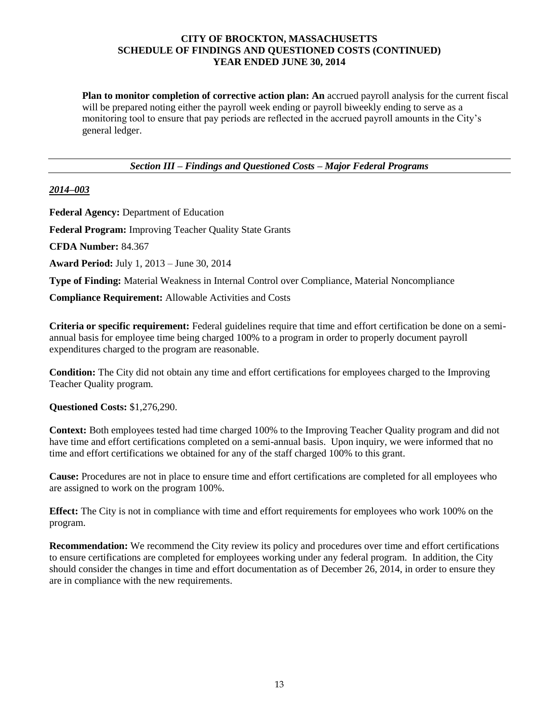**Plan to monitor completion of corrective action plan: An** accrued payroll analysis for the current fiscal will be prepared noting either the payroll week ending or payroll biweekly ending to serve as a monitoring tool to ensure that pay periods are reflected in the accrued payroll amounts in the City's general ledger.

*Section III – Findings and Questioned Costs – Major Federal Programs* 

# *2014–003*

**Federal Agency:** Department of Education **Federal Program:** Improving Teacher Quality State Grants **CFDA Number:** 84.367 **Award Period:** July 1, 2013 – June 30, 2014 **Type of Finding:** Material Weakness in Internal Control over Compliance, Material Noncompliance **Compliance Requirement:** Allowable Activities and Costs

**Criteria or specific requirement:** Federal guidelines require that time and effort certification be done on a semiannual basis for employee time being charged 100% to a program in order to properly document payroll expenditures charged to the program are reasonable.

**Condition:** The City did not obtain any time and effort certifications for employees charged to the Improving Teacher Quality program.

**Questioned Costs:** \$1,276,290.

**Context:** Both employees tested had time charged 100% to the Improving Teacher Quality program and did not have time and effort certifications completed on a semi-annual basis. Upon inquiry, we were informed that no time and effort certifications we obtained for any of the staff charged 100% to this grant.

**Cause:** Procedures are not in place to ensure time and effort certifications are completed for all employees who are assigned to work on the program 100%.

**Effect:** The City is not in compliance with time and effort requirements for employees who work 100% on the program.

**Recommendation:** We recommend the City review its policy and procedures over time and effort certifications to ensure certifications are completed for employees working under any federal program. In addition, the City should consider the changes in time and effort documentation as of December 26, 2014, in order to ensure they are in compliance with the new requirements.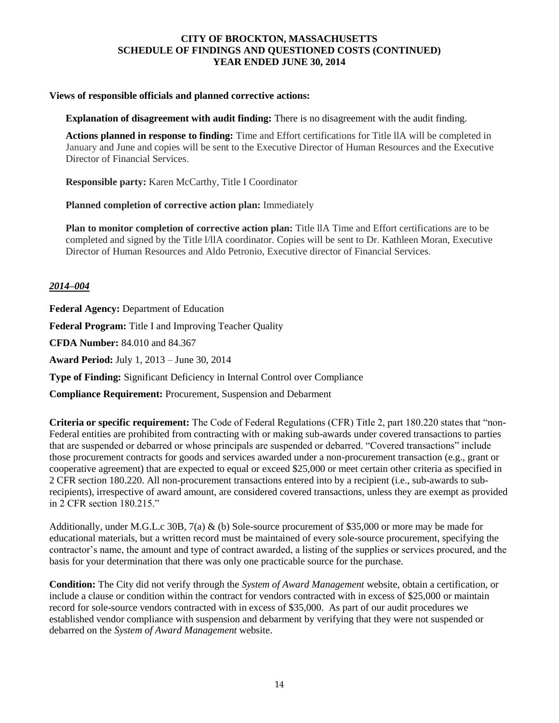#### **Views of responsible officials and planned corrective actions:**

**Explanation of disagreement with audit finding:** There is no disagreement with the audit finding.

**Actions planned in response to finding:** Time and Effort certifications for Title llA will be completed in January and June and copies will be sent to the Executive Director of Human Resources and the Executive Director of Financial Services.

**Responsible party:** Karen McCarthy, Title I Coordinator

**Planned completion of corrective action plan:** Immediately

**Plan to monitor completion of corrective action plan:** Title IIA Time and Effort certifications are to be completed and signed by the Title l/llA coordinator. Copies will be sent to Dr. Kathleen Moran, Executive Director of Human Resources and Aldo Petronio, Executive director of Financial Services.

# *2014–004*

**Federal Agency:** Department of Education **Federal Program:** Title I and Improving Teacher Quality **CFDA Number:** 84.010 and 84.367 **Award Period:** July 1, 2013 – June 30, 2014 **Type of Finding:** Significant Deficiency in Internal Control over Compliance **Compliance Requirement:** Procurement, Suspension and Debarment

**Criteria or specific requirement:** The Code of Federal Regulations (CFR) Title 2, part 180.220 states that "non-Federal entities are prohibited from contracting with or making sub-awards under covered transactions to parties that are suspended or debarred or whose principals are suspended or debarred. "Covered transactions" include those procurement contracts for goods and services awarded under a non-procurement transaction (e.g., grant or cooperative agreement) that are expected to equal or exceed \$25,000 or meet certain other criteria as specified in 2 CFR section 180.220. All non-procurement transactions entered into by a recipient (i.e., sub-awards to subrecipients), irrespective of award amount, are considered covered transactions, unless they are exempt as provided in 2 CFR section 180.215."

Additionally, under M.G.L.c 30B, 7(a) & (b) Sole-source procurement of \$35,000 or more may be made for educational materials, but a written record must be maintained of every sole-source procurement, specifying the contractor's name, the amount and type of contract awarded, a listing of the supplies or services procured, and the basis for your determination that there was only one practicable source for the purchase.

**Condition:** The City did not verify through the *System of Award Management* website, obtain a certification, or include a clause or condition within the contract for vendors contracted with in excess of \$25,000 or maintain record for sole-source vendors contracted with in excess of \$35,000. As part of our audit procedures we established vendor compliance with suspension and debarment by verifying that they were not suspended or debarred on the *System of Award Management* website.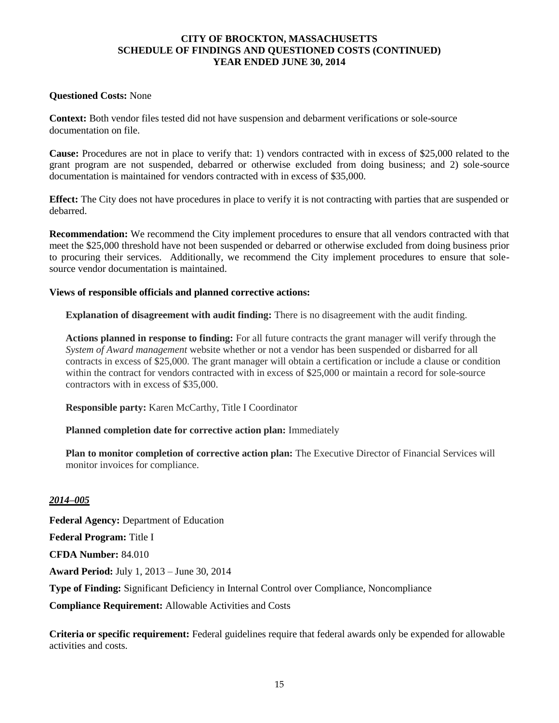#### **Questioned Costs:** None

**Context:** Both vendor files tested did not have suspension and debarment verifications or sole-source documentation on file.

**Cause:** Procedures are not in place to verify that: 1) vendors contracted with in excess of \$25,000 related to the grant program are not suspended, debarred or otherwise excluded from doing business; and 2) sole-source documentation is maintained for vendors contracted with in excess of \$35,000.

**Effect:** The City does not have procedures in place to verify it is not contracting with parties that are suspended or debarred.

**Recommendation:** We recommend the City implement procedures to ensure that all vendors contracted with that meet the \$25,000 threshold have not been suspended or debarred or otherwise excluded from doing business prior to procuring their services. Additionally, we recommend the City implement procedures to ensure that solesource vendor documentation is maintained.

#### **Views of responsible officials and planned corrective actions:**

**Explanation of disagreement with audit finding:** There is no disagreement with the audit finding.

**Actions planned in response to finding:** For all future contracts the grant manager will verify through the *System of Award management* website whether or not a vendor has been suspended or disbarred for all contracts in excess of \$25,000. The grant manager will obtain a certification or include a clause or condition within the contract for vendors contracted with in excess of \$25,000 or maintain a record for sole-source contractors with in excess of \$35,000.

**Responsible party:** Karen McCarthy, Title I Coordinator

#### **Planned completion date for corrective action plan:** Immediately

**Plan to monitor completion of corrective action plan:** The Executive Director of Financial Services will monitor invoices for compliance.

#### *2014–005*

**Federal Agency:** Department of Education **Federal Program:** Title I **CFDA Number:** 84.010 **Award Period:** July 1, 2013 – June 30, 2014 **Type of Finding:** Significant Deficiency in Internal Control over Compliance, Noncompliance **Compliance Requirement:** Allowable Activities and Costs

**Criteria or specific requirement:** Federal guidelines require that federal awards only be expended for allowable activities and costs.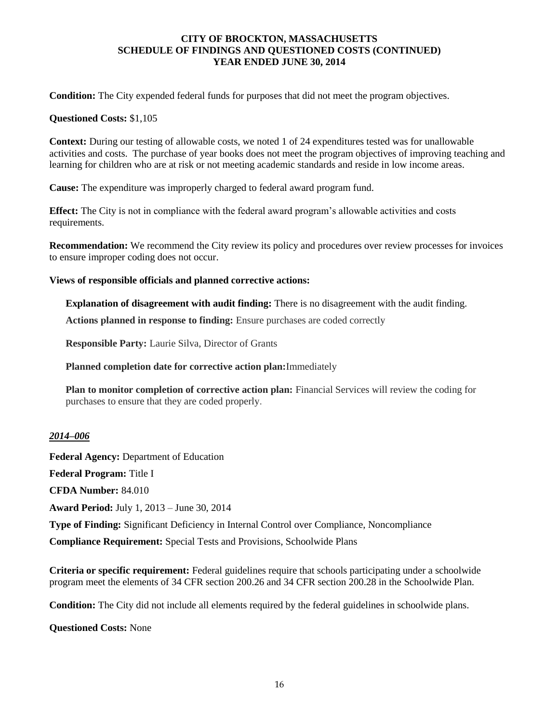**Condition:** The City expended federal funds for purposes that did not meet the program objectives.

#### **Questioned Costs:** \$1,105

**Context:** During our testing of allowable costs, we noted 1 of 24 expenditures tested was for unallowable activities and costs. The purchase of year books does not meet the program objectives of improving teaching and learning for children who are at risk or not meeting academic standards and reside in low income areas.

**Cause:** The expenditure was improperly charged to federal award program fund.

**Effect:** The City is not in compliance with the federal award program's allowable activities and costs requirements.

**Recommendation:** We recommend the City review its policy and procedures over review processes for invoices to ensure improper coding does not occur.

#### **Views of responsible officials and planned corrective actions:**

**Explanation of disagreement with audit finding:** There is no disagreement with the audit finding.

**Actions planned in response to finding:** Ensure purchases are coded correctly

**Responsible Party:** Laurie Silva, Director of Grants

**Planned completion date for corrective action plan:**Immediately

**Plan to monitor completion of corrective action plan:** Financial Services will review the coding for purchases to ensure that they are coded properly.

#### *2014–006*

**Federal Agency:** Department of Education

**Federal Program:** Title I

**CFDA Number:** 84.010

**Award Period:** July 1, 2013 – June 30, 2014

**Type of Finding:** Significant Deficiency in Internal Control over Compliance, Noncompliance

**Compliance Requirement:** Special Tests and Provisions, Schoolwide Plans

**Criteria or specific requirement:** Federal guidelines require that schools participating under a schoolwide program meet the elements of 34 CFR section 200.26 and 34 CFR section 200.28 in the Schoolwide Plan.

**Condition:** The City did not include all elements required by the federal guidelines in schoolwide plans.

**Questioned Costs:** None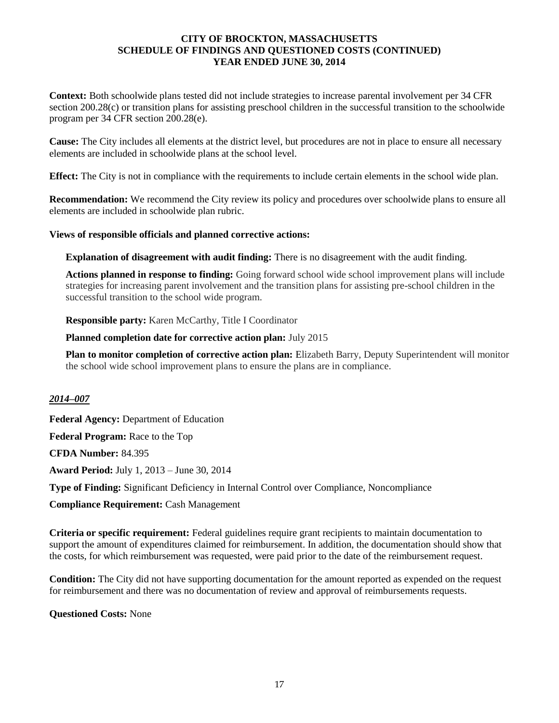**Context:** Both schoolwide plans tested did not include strategies to increase parental involvement per 34 CFR section 200.28(c) or transition plans for assisting preschool children in the successful transition to the schoolwide program per 34 CFR section 200.28(e).

**Cause:** The City includes all elements at the district level, but procedures are not in place to ensure all necessary elements are included in schoolwide plans at the school level.

**Effect:** The City is not in compliance with the requirements to include certain elements in the school wide plan.

**Recommendation:** We recommend the City review its policy and procedures over schoolwide plans to ensure all elements are included in schoolwide plan rubric.

# **Views of responsible officials and planned corrective actions:**

**Explanation of disagreement with audit finding:** There is no disagreement with the audit finding.

**Actions planned in response to finding:** Going forward school wide school improvement plans will include strategies for increasing parent involvement and the transition plans for assisting pre-school children in the successful transition to the school wide program.

**Responsible party:** Karen McCarthy, Title I Coordinator

**Planned completion date for corrective action plan:** July 2015

**Plan to monitor completion of corrective action plan:** Elizabeth Barry, Deputy Superintendent will monitor the school wide school improvement plans to ensure the plans are in compliance.

#### *2014–007*

**Federal Agency:** Department of Education

**Federal Program:** Race to the Top

**CFDA Number:** 84.395

**Award Period:** July 1, 2013 – June 30, 2014

**Type of Finding:** Significant Deficiency in Internal Control over Compliance, Noncompliance

**Compliance Requirement:** Cash Management

**Criteria or specific requirement:** Federal guidelines require grant recipients to maintain documentation to support the amount of expenditures claimed for reimbursement. In addition, the documentation should show that the costs, for which reimbursement was requested, were paid prior to the date of the reimbursement request.

**Condition:** The City did not have supporting documentation for the amount reported as expended on the request for reimbursement and there was no documentation of review and approval of reimbursements requests.

**Questioned Costs:** None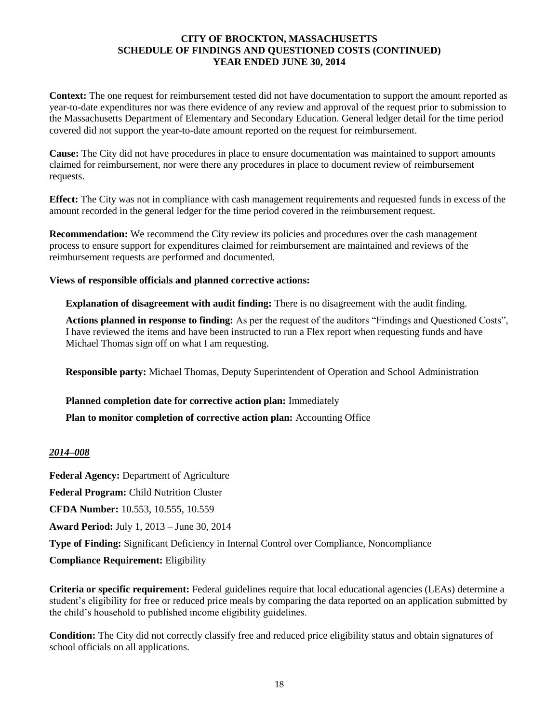**Context:** The one request for reimbursement tested did not have documentation to support the amount reported as year-to-date expenditures nor was there evidence of any review and approval of the request prior to submission to the Massachusetts Department of Elementary and Secondary Education. General ledger detail for the time period covered did not support the year-to-date amount reported on the request for reimbursement.

**Cause:** The City did not have procedures in place to ensure documentation was maintained to support amounts claimed for reimbursement, nor were there any procedures in place to document review of reimbursement requests.

**Effect:** The City was not in compliance with cash management requirements and requested funds in excess of the amount recorded in the general ledger for the time period covered in the reimbursement request.

**Recommendation:** We recommend the City review its policies and procedures over the cash management process to ensure support for expenditures claimed for reimbursement are maintained and reviews of the reimbursement requests are performed and documented.

#### **Views of responsible officials and planned corrective actions:**

**Explanation of disagreement with audit finding:** There is no disagreement with the audit finding.

**Actions planned in response to finding:** As per the request of the auditors "Findings and Questioned Costs", I have reviewed the items and have been instructed to run a Flex report when requesting funds and have Michael Thomas sign off on what I am requesting.

**Responsible party:** Michael Thomas, Deputy Superintendent of Operation and School Administration

#### **Planned completion date for corrective action plan:** Immediately

**Plan to monitor completion of corrective action plan:** Accounting Office

#### *2014–008*

**Federal Agency:** Department of Agriculture

**Federal Program:** Child Nutrition Cluster

**CFDA Number:** 10.553, 10.555, 10.559

**Award Period:** July 1, 2013 – June 30, 2014

**Type of Finding:** Significant Deficiency in Internal Control over Compliance, Noncompliance

**Compliance Requirement:** Eligibility

**Criteria or specific requirement:** Federal guidelines require that local educational agencies (LEAs) determine a student's eligibility for free or reduced price meals by comparing the data reported on an application submitted by the child's household to published income eligibility guidelines.

**Condition:** The City did not correctly classify free and reduced price eligibility status and obtain signatures of school officials on all applications.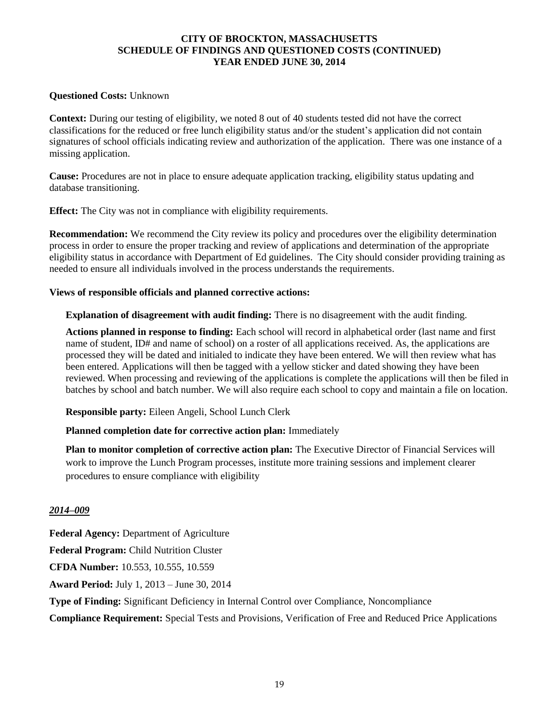# **Questioned Costs:** Unknown

**Context:** During our testing of eligibility, we noted 8 out of 40 students tested did not have the correct classifications for the reduced or free lunch eligibility status and/or the student's application did not contain signatures of school officials indicating review and authorization of the application. There was one instance of a missing application.

**Cause:** Procedures are not in place to ensure adequate application tracking, eligibility status updating and database transitioning.

**Effect:** The City was not in compliance with eligibility requirements.

**Recommendation:** We recommend the City review its policy and procedures over the eligibility determination process in order to ensure the proper tracking and review of applications and determination of the appropriate eligibility status in accordance with Department of Ed guidelines. The City should consider providing training as needed to ensure all individuals involved in the process understands the requirements.

#### **Views of responsible officials and planned corrective actions:**

**Explanation of disagreement with audit finding:** There is no disagreement with the audit finding.

**Actions planned in response to finding:** Each school will record in alphabetical order (last name and first name of student, ID# and name of school) on a roster of all applications received. As, the applications are processed they will be dated and initialed to indicate they have been entered. We will then review what has been entered. Applications will then be tagged with a yellow sticker and dated showing they have been reviewed. When processing and reviewing of the applications is complete the applications will then be filed in batches by school and batch number. We will also require each school to copy and maintain a file on location.

**Responsible party:** Eileen Angeli, School Lunch Clerk

#### **Planned completion date for corrective action plan:** Immediately

**Plan to monitor completion of corrective action plan:** The Executive Director of Financial Services will work to improve the Lunch Program processes, institute more training sessions and implement clearer procedures to ensure compliance with eligibility

#### *2014–009*

**Federal Agency:** Department of Agriculture

**Federal Program:** Child Nutrition Cluster

**CFDA Number:** 10.553, 10.555, 10.559

**Award Period:** July 1, 2013 – June 30, 2014

**Type of Finding:** Significant Deficiency in Internal Control over Compliance, Noncompliance

**Compliance Requirement:** Special Tests and Provisions, Verification of Free and Reduced Price Applications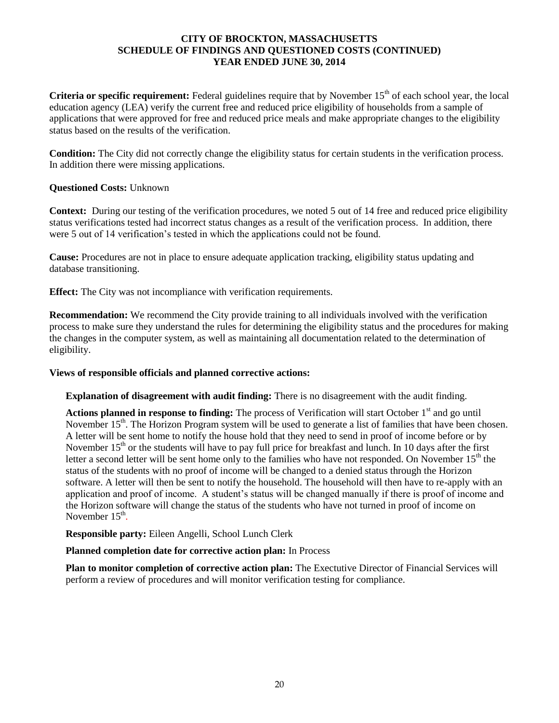**Criteria or specific requirement:** Federal guidelines require that by November 15<sup>th</sup> of each school year, the local education agency (LEA) verify the current free and reduced price eligibility of households from a sample of applications that were approved for free and reduced price meals and make appropriate changes to the eligibility status based on the results of the verification.

**Condition:** The City did not correctly change the eligibility status for certain students in the verification process. In addition there were missing applications.

# **Questioned Costs:** Unknown

**Context:** During our testing of the verification procedures, we noted 5 out of 14 free and reduced price eligibility status verifications tested had incorrect status changes as a result of the verification process. In addition, there were 5 out of 14 verification's tested in which the applications could not be found.

**Cause:** Procedures are not in place to ensure adequate application tracking, eligibility status updating and database transitioning.

**Effect:** The City was not incompliance with verification requirements.

**Recommendation:** We recommend the City provide training to all individuals involved with the verification process to make sure they understand the rules for determining the eligibility status and the procedures for making the changes in the computer system, as well as maintaining all documentation related to the determination of eligibility.

#### **Views of responsible officials and planned corrective actions:**

**Explanation of disagreement with audit finding:** There is no disagreement with the audit finding.

**Actions planned in response to finding:** The process of Verification will start October 1<sup>st</sup> and go until November 15<sup>th</sup>. The Horizon Program system will be used to generate a list of families that have been chosen. A letter will be sent home to notify the house hold that they need to send in proof of income before or by November 15<sup>th</sup> or the students will have to pay full price for breakfast and lunch. In 10 days after the first letter a second letter will be sent home only to the families who have not responded. On November  $15<sup>th</sup>$  the status of the students with no proof of income will be changed to a denied status through the Horizon software. A letter will then be sent to notify the household. The household will then have to re-apply with an application and proof of income. A student's status will be changed manually if there is proof of income and the Horizon software will change the status of the students who have not turned in proof of income on November  $15<sup>th</sup>$ .

**Responsible party:** Eileen Angelli, School Lunch Clerk

# **Planned completion date for corrective action plan:** In Process

**Plan to monitor completion of corrective action plan:** The Exectutive Director of Financial Services will perform a review of procedures and will monitor verification testing for compliance.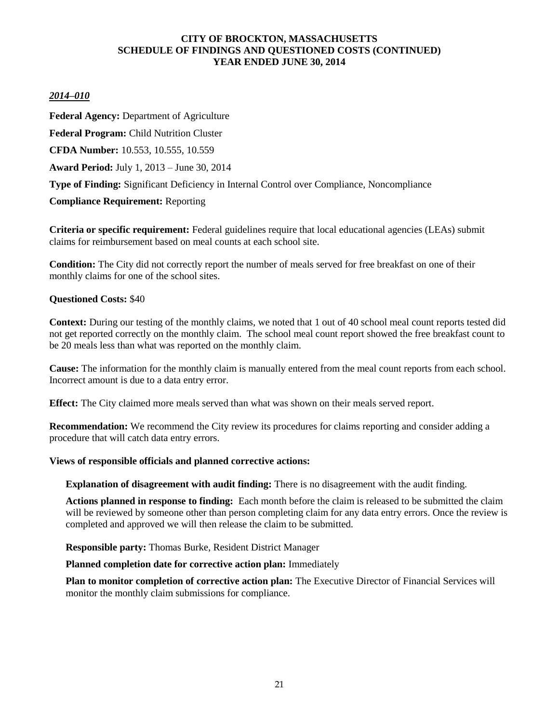# *2014–010*

**Federal Agency:** Department of Agriculture **Federal Program:** Child Nutrition Cluster **CFDA Number:** 10.553, 10.555, 10.559 **Award Period:** July 1, 2013 – June 30, 2014 **Type of Finding:** Significant Deficiency in Internal Control over Compliance, Noncompliance **Compliance Requirement:** Reporting

**Criteria or specific requirement:** Federal guidelines require that local educational agencies (LEAs) submit claims for reimbursement based on meal counts at each school site.

**Condition:** The City did not correctly report the number of meals served for free breakfast on one of their monthly claims for one of the school sites.

#### **Questioned Costs:** \$40

**Context:** During our testing of the monthly claims, we noted that 1 out of 40 school meal count reports tested did not get reported correctly on the monthly claim. The school meal count report showed the free breakfast count to be 20 meals less than what was reported on the monthly claim.

**Cause:** The information for the monthly claim is manually entered from the meal count reports from each school. Incorrect amount is due to a data entry error.

**Effect:** The City claimed more meals served than what was shown on their meals served report.

**Recommendation:** We recommend the City review its procedures for claims reporting and consider adding a procedure that will catch data entry errors.

#### **Views of responsible officials and planned corrective actions:**

**Explanation of disagreement with audit finding:** There is no disagreement with the audit finding.

**Actions planned in response to finding:** Each month before the claim is released to be submitted the claim will be reviewed by someone other than person completing claim for any data entry errors. Once the review is completed and approved we will then release the claim to be submitted.

**Responsible party:** Thomas Burke, Resident District Manager

**Planned completion date for corrective action plan:** Immediately

**Plan to monitor completion of corrective action plan:** The Executive Director of Financial Services will monitor the monthly claim submissions for compliance.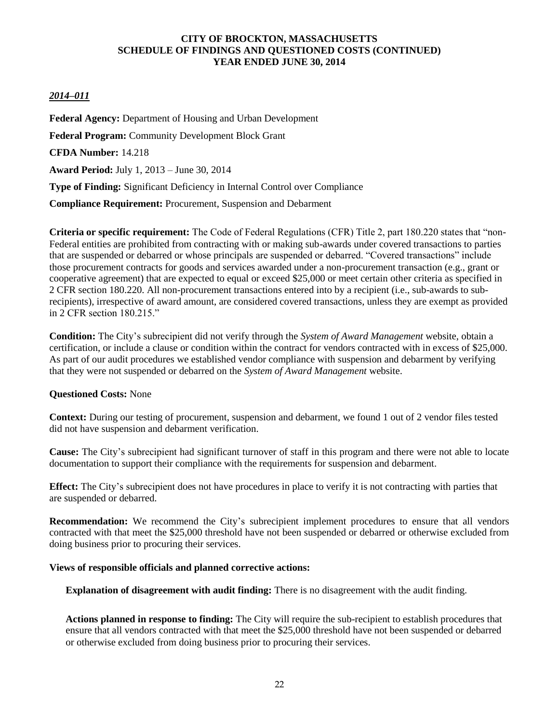# *2014–011*

**Federal Agency:** Department of Housing and Urban Development **Federal Program:** Community Development Block Grant **CFDA Number:** 14.218 **Award Period:** July 1, 2013 – June 30, 2014 **Type of Finding:** Significant Deficiency in Internal Control over Compliance **Compliance Requirement:** Procurement, Suspension and Debarment

**Criteria or specific requirement:** The Code of Federal Regulations (CFR) Title 2, part 180.220 states that "non-Federal entities are prohibited from contracting with or making sub-awards under covered transactions to parties that are suspended or debarred or whose principals are suspended or debarred. "Covered transactions" include those procurement contracts for goods and services awarded under a non-procurement transaction (e.g., grant or cooperative agreement) that are expected to equal or exceed \$25,000 or meet certain other criteria as specified in 2 CFR section 180.220. All non-procurement transactions entered into by a recipient (i.e., sub-awards to subrecipients), irrespective of award amount, are considered covered transactions, unless they are exempt as provided in 2 CFR section 180.215."

**Condition:** The City's subrecipient did not verify through the *System of Award Management* website, obtain a certification, or include a clause or condition within the contract for vendors contracted with in excess of \$25,000. As part of our audit procedures we established vendor compliance with suspension and debarment by verifying that they were not suspended or debarred on the *System of Award Management* website.

#### **Questioned Costs:** None

**Context:** During our testing of procurement, suspension and debarment, we found 1 out of 2 vendor files tested did not have suspension and debarment verification.

**Cause:** The City's subrecipient had significant turnover of staff in this program and there were not able to locate documentation to support their compliance with the requirements for suspension and debarment.

**Effect:** The City's subrecipient does not have procedures in place to verify it is not contracting with parties that are suspended or debarred.

**Recommendation:** We recommend the City's subrecipient implement procedures to ensure that all vendors contracted with that meet the \$25,000 threshold have not been suspended or debarred or otherwise excluded from doing business prior to procuring their services.

#### **Views of responsible officials and planned corrective actions:**

**Explanation of disagreement with audit finding:** There is no disagreement with the audit finding.

**Actions planned in response to finding:** The City will require the sub-recipient to establish procedures that ensure that all vendors contracted with that meet the \$25,000 threshold have not been suspended or debarred or otherwise excluded from doing business prior to procuring their services.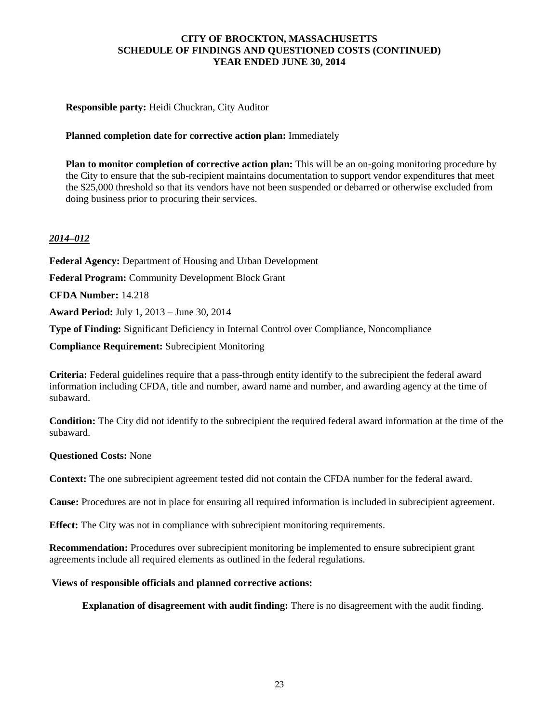#### **Responsible party:** Heidi Chuckran, City Auditor

#### **Planned completion date for corrective action plan:** Immediately

**Plan to monitor completion of corrective action plan:** This will be an on-going monitoring procedure by the City to ensure that the sub-recipient maintains documentation to support vendor expenditures that meet the \$25,000 threshold so that its vendors have not been suspended or debarred or otherwise excluded from doing business prior to procuring their services.

# *2014–012*

**Federal Agency:** Department of Housing and Urban Development **Federal Program:** Community Development Block Grant **CFDA Number:** 14.218 **Award Period:** July 1, 2013 – June 30, 2014 **Type of Finding:** Significant Deficiency in Internal Control over Compliance, Noncompliance **Compliance Requirement:** Subrecipient Monitoring

**Criteria:** Federal guidelines require that a pass-through entity identify to the subrecipient the federal award information including CFDA, title and number, award name and number, and awarding agency at the time of subaward.

**Condition:** The City did not identify to the subrecipient the required federal award information at the time of the subaward.

#### **Questioned Costs:** None

**Context:** The one subrecipient agreement tested did not contain the CFDA number for the federal award.

**Cause:** Procedures are not in place for ensuring all required information is included in subrecipient agreement.

**Effect:** The City was not in compliance with subrecipient monitoring requirements.

**Recommendation:** Procedures over subrecipient monitoring be implemented to ensure subrecipient grant agreements include all required elements as outlined in the federal regulations.

# **Views of responsible officials and planned corrective actions:**

**Explanation of disagreement with audit finding:** There is no disagreement with the audit finding.